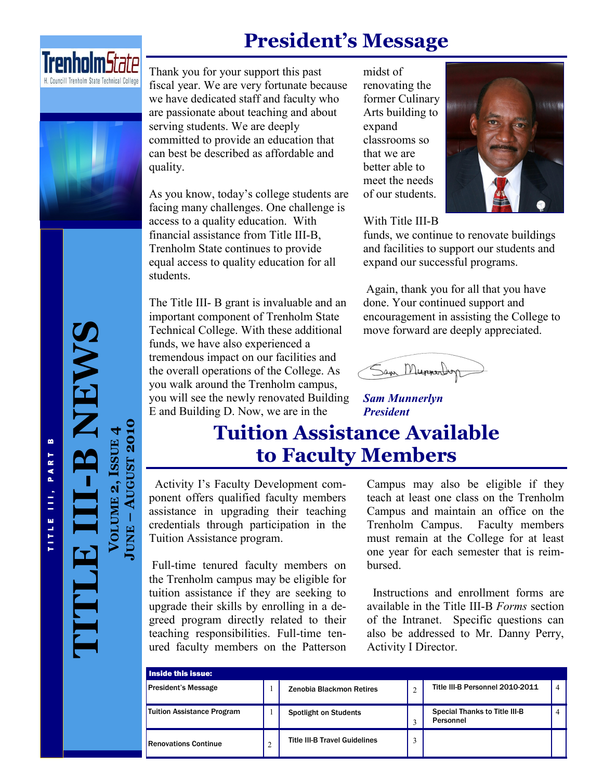## **President's Message**





Thank you for your support this past fiscal year. We are very fortunate because we have dedicated staff and faculty who are passionate about teaching and about serving students. We are deeply committed to provide an education that can best be described as affordable and quality.

As you know, today's college students are facing many challenges. One challenge is access to a quality education. With financial assistance from Title III-B, Trenholm State continues to provide equal access to quality education for all students.

The Title III- B grant is invaluable and an important component of Trenholm State Technical College. With these additional funds, we have also experienced a tremendous impact on our facilities and the overall operations of the College. As you walk around the Trenholm campus, you will see the newly renovated Building E and Building D. Now, we are in the

midst of renovating the former Culinary Arts building to expand classrooms so that we are better able to meet the needs of our students.



#### With Title III-B

funds, we continue to renovate buildings and facilities to support our students and expand our successful programs.

Again, thank you for all that you have done. Your continued support and encouragement in assisting the College to move forward are deeply appreciated.

Sam Munnerboy

*Sam Munnerlyn President*

## **Tuition Assistance Available to Faculty Members**

 Activity I's Faculty Development component offers qualified faculty members assistance in upgrading their teaching credentials through participation in the Tuition Assistance program.

Full-time tenured faculty members on the Trenholm campus may be eligible for tuition assistance if they are seeking to upgrade their skills by enrolling in a degreed program directly related to their teaching responsibilities. Full-time tenured faculty members on the Patterson Campus may also be eligible if they teach at least one class on the Trenholm Campus and maintain an office on the Trenholm Campus. Faculty members must remain at the College for at least one year for each semester that is reimbursed.

 Instructions and enrollment forms are available in the Title III-B *Forms* section of the Intranet. Specific questions can also be addressed to Mr. Danny Perry, Activity I Director.

| Inside this issue:          |   |                                      |  |                                                   |                |
|-----------------------------|---|--------------------------------------|--|---------------------------------------------------|----------------|
| <b>President's Message</b>  |   | Zenobia Blackmon Retires             |  | Title III-B Personnel 2010-2011                   | $\overline{A}$ |
| Tuition Assistance Program  |   | <b>Spotlight on Students</b>         |  | <b>Special Thanks to Title III-B</b><br>Personnel |                |
| <b>Renovations Continue</b> | 2 | <b>Title III-B Travel Guidelines</b> |  |                                                   |                |

# **-B NEWS** T I T L E I I I , P A R T B TITLE III, PART B

**TITLE III**

**VOLUME 2, ISSUE**

**AUGUST 2010** 

**AUGUST 2010**

**JUNE**

**4**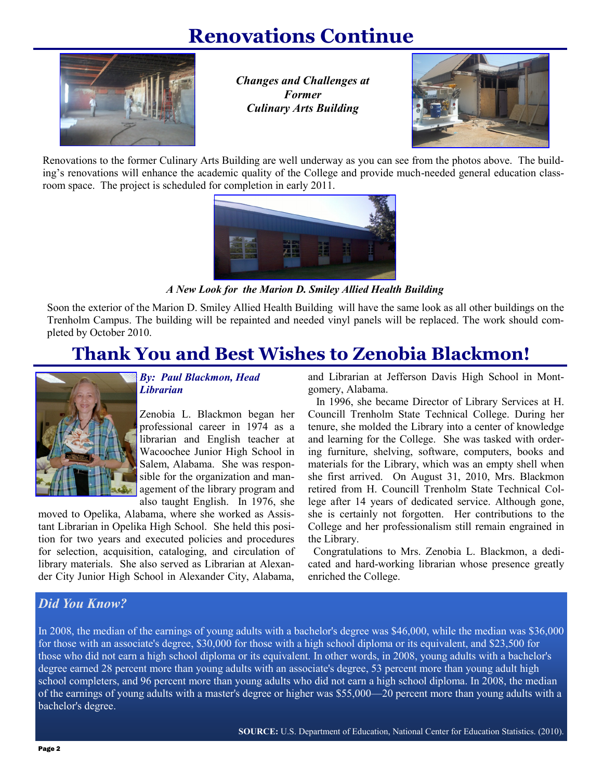## **Renovations Continue**



*Changes and Challenges at Former Culinary Arts Building*



Renovations to the former Culinary Arts Building are well underway as you can see from the photos above. The building's renovations will enhance the academic quality of the College and provide much-needed general education classroom space. The project is scheduled for completion in early 2011.



*A New Look for the Marion D. Smiley Allied Health Building*

Soon the exterior of the Marion D. Smiley Allied Health Building will have the same look as all other buildings on the Trenholm Campus. The building will be repainted and needed vinyl panels will be replaced. The work should completed by October 2010.

## **Thank You and Best Wishes to Zenobia Blackmon!**



#### *By: Paul Blackmon, Head Librarian*

Zenobia L. Blackmon began her professional career in 1974 as a librarian and English teacher at Wacoochee Junior High School in Salem, Alabama. She was responsible for the organization and management of the library program and also taught English. In 1976, she

moved to Opelika, Alabama, where she worked as Assistant Librarian in Opelika High School. She held this position for two years and executed policies and procedures for selection, acquisition, cataloging, and circulation of library materials. She also served as Librarian at Alexander City Junior High School in Alexander City, Alabama,

and Librarian at Jefferson Davis High School in Montgomery, Alabama.

 In 1996, she became Director of Library Services at H. Councill Trenholm State Technical College. During her tenure, she molded the Library into a center of knowledge and learning for the College. She was tasked with ordering furniture, shelving, software, computers, books and materials for the Library, which was an empty shell when she first arrived. On August 31, 2010, Mrs. Blackmon retired from H. Councill Trenholm State Technical College after 14 years of dedicated service. Although gone, she is certainly not forgotten. Her contributions to the College and her professionalism still remain engrained in the Library.

 Congratulations to Mrs. Zenobia L. Blackmon, a dedicated and hard-working librarian whose presence greatly enriched the College.

#### *Did You Know?*

In 2008, the median of the earnings of young adults with a bachelor's degree was \$46,000, while the median was \$36,000 for those with an associate's degree, \$30,000 for those with a high school diploma or its equivalent, and \$23,500 for those who did not earn a high school diploma or its equivalent. In other words, in 2008, young adults with a bachelor's degree earned 28 percent more than young adults with an associate's degree, 53 percent more than young adult high school completers, and 96 percent more than young adults who did not earn a high school diploma. In 2008, the median of the earnings of young adults with a master's degree or higher was \$55,000—20 percent more than young adults with a bachelor's degree.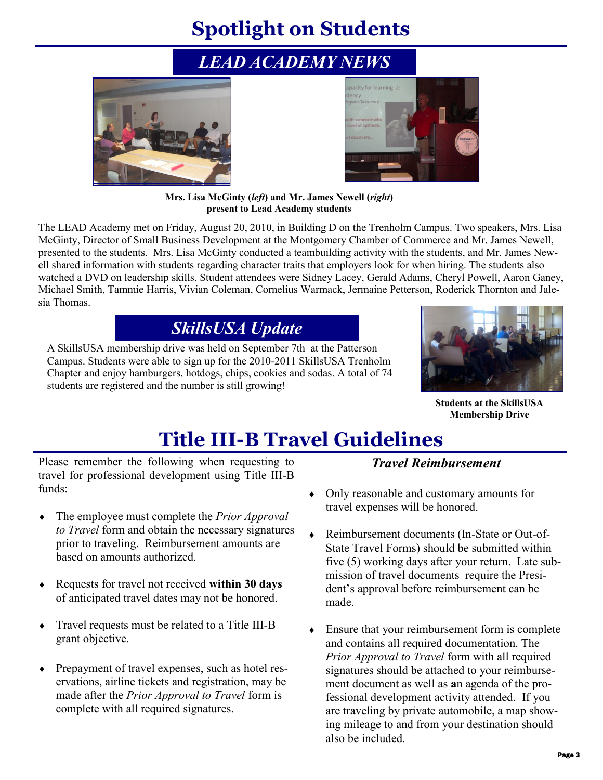# **Spotlight on Students**

## *LEAD ACADEMY NEWS*





**Mrs. Lisa McGinty (***left***) and Mr. James Newell (***right***) present to Lead Academy students** 

The LEAD Academy met on Friday, August 20, 2010, in Building D on the Trenholm Campus. Two speakers, Mrs. Lisa McGinty, Director of Small Business Development at the Montgomery Chamber of Commerce and Mr. James Newell, presented to the students. Mrs. Lisa McGinty conducted a teambuilding activity with the students, and Mr. James Newell shared information with students regarding character traits that employers look for when hiring. The students also watched a DVD on leadership skills. Student attendees were Sidney Lacey, Gerald Adams, Cheryl Powell, Aaron Ganey, Michael Smith, Tammie Harris, Vivian Coleman, Cornelius Warmack, Jermaine Petterson, Roderick Thornton and Jalesia Thomas.

## *SkillsUSA Update*

A SkillsUSA membership drive was held on September 7th at the Patterson Campus. Students were able to sign up for the 2010-2011 SkillsUSA Trenholm Chapter and enjoy hamburgers, hotdogs, chips, cookies and sodas. A total of 74 students are registered and the number is still growing!



**Students at the SkillsUSA Membership Drive**

# **Title III-B Travel Guidelines**

Please remember the following when requesting to travel for professional development using Title III-B funds:

- The employee must complete the *Prior Approval to Travel* form and obtain the necessary signatures prior to traveling. Reimbursement amounts are based on amounts authorized.
- Requests for travel not received **within 30 days**  of anticipated travel dates may not be honored.
- Travel requests must be related to a Title III-B grant objective.
- Prepayment of travel expenses, such as hotel reservations, airline tickets and registration, may be made after the *Prior Approval to Travel* form is complete with all required signatures.

#### *Travel Reimbursement*

- Only reasonable and customary amounts for travel expenses will be honored.
- Reimbursement documents (In-State or Out-of-State Travel Forms) should be submitted within five (5) working days after your return. Late submission of travel documents require the President's approval before reimbursement can be made.
- Ensure that your reimbursement form is complete and contains all required documentation. The *Prior Approval to Travel* form with all required signatures should be attached to your reimbursement document as well as **a**n agenda of the professional development activity attended. If you are traveling by private automobile, a map showing mileage to and from your destination should also be included.